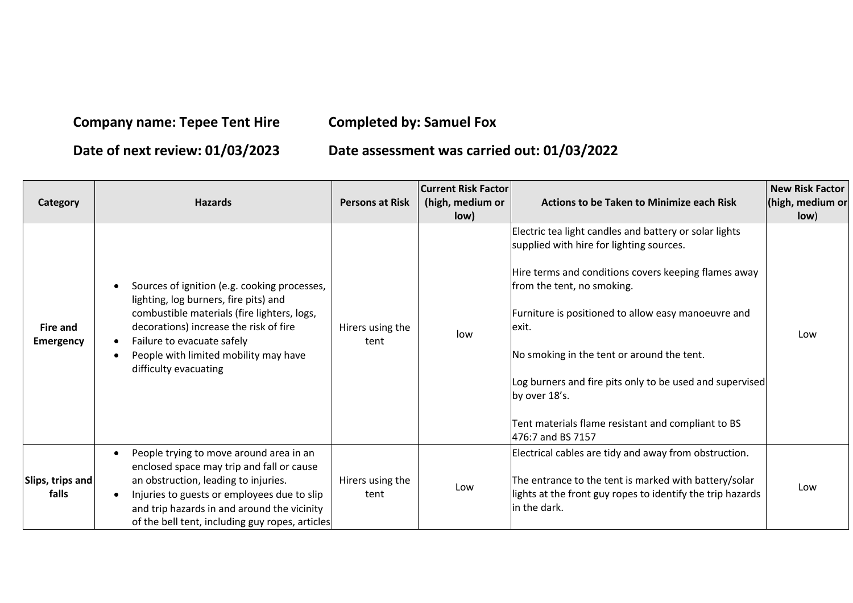## **Company name: Tepee Tent Hire Completed by: Samuel Fox**

## **Date of next review: 01/03/2023 Date assessment was carried out: 01/03/2022**

| Category                            | <b>Hazards</b>                                                                                                                                                                                                                                                                                                        | <b>Persons at Risk</b>   | <b>Current Risk Factor</b><br>(high, medium or<br>low) | <b>Actions to be Taken to Minimize each Risk</b>                                                                                                                                                                                                                                                                                                                                                                                                               | New Risk Factor<br>(high, medium or<br>low) |
|-------------------------------------|-----------------------------------------------------------------------------------------------------------------------------------------------------------------------------------------------------------------------------------------------------------------------------------------------------------------------|--------------------------|--------------------------------------------------------|----------------------------------------------------------------------------------------------------------------------------------------------------------------------------------------------------------------------------------------------------------------------------------------------------------------------------------------------------------------------------------------------------------------------------------------------------------------|---------------------------------------------|
| <b>Fire and</b><br><b>Emergency</b> | Sources of ignition (e.g. cooking processes,<br>$\bullet$<br>lighting, log burners, fire pits) and<br>combustible materials (fire lighters, logs,<br>decorations) increase the risk of fire<br>Failure to evacuate safely<br>$\bullet$<br>People with limited mobility may have<br>$\bullet$<br>difficulty evacuating | Hirers using the<br>tent | low                                                    | Electric tea light candles and battery or solar lights<br>supplied with hire for lighting sources.<br>Hire terms and conditions covers keeping flames away<br>from the tent, no smoking.<br>Furniture is positioned to allow easy manoeuvre and<br>exit.<br>No smoking in the tent or around the tent.<br>Log burners and fire pits only to be used and supervised<br>by over 18's.<br>Tent materials flame resistant and compliant to BS<br>476:7 and BS 7157 | Low                                         |
| Slips, trips and<br>falls           | People trying to move around area in an<br>$\bullet$<br>enclosed space may trip and fall or cause<br>an obstruction, leading to injuries.<br>Injuries to guests or employees due to slip<br>$\bullet$<br>and trip hazards in and around the vicinity<br>of the bell tent, including guy ropes, articles               | Hirers using the<br>tent | Low                                                    | Electrical cables are tidy and away from obstruction.<br>The entrance to the tent is marked with battery/solar<br>lights at the front guy ropes to identify the trip hazards<br>in the dark.                                                                                                                                                                                                                                                                   | Low                                         |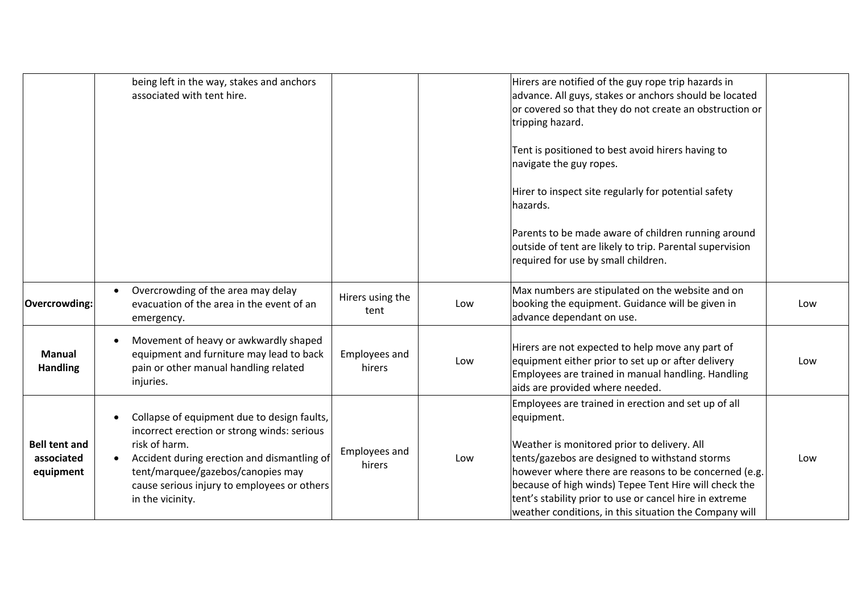|                                  | being left in the way, stakes and anchors                                                                                                                                                                                                                          |                          |     | Hirers are notified of the guy rope trip hazards in      |     |
|----------------------------------|--------------------------------------------------------------------------------------------------------------------------------------------------------------------------------------------------------------------------------------------------------------------|--------------------------|-----|----------------------------------------------------------|-----|
|                                  | associated with tent hire.                                                                                                                                                                                                                                         |                          |     | advance. All guys, stakes or anchors should be located   |     |
|                                  |                                                                                                                                                                                                                                                                    |                          |     | or covered so that they do not create an obstruction or  |     |
|                                  |                                                                                                                                                                                                                                                                    |                          |     | tripping hazard.                                         |     |
|                                  |                                                                                                                                                                                                                                                                    |                          |     |                                                          |     |
|                                  |                                                                                                                                                                                                                                                                    |                          |     | Tent is positioned to best avoid hirers having to        |     |
|                                  |                                                                                                                                                                                                                                                                    |                          |     | navigate the guy ropes.                                  |     |
|                                  |                                                                                                                                                                                                                                                                    |                          |     |                                                          |     |
|                                  |                                                                                                                                                                                                                                                                    |                          |     | Hirer to inspect site regularly for potential safety     |     |
|                                  |                                                                                                                                                                                                                                                                    |                          |     | hazards.                                                 |     |
|                                  |                                                                                                                                                                                                                                                                    |                          |     |                                                          |     |
|                                  |                                                                                                                                                                                                                                                                    |                          |     | Parents to be made aware of children running around      |     |
|                                  |                                                                                                                                                                                                                                                                    |                          |     | outside of tent are likely to trip. Parental supervision |     |
|                                  |                                                                                                                                                                                                                                                                    |                          |     | required for use by small children.                      |     |
|                                  |                                                                                                                                                                                                                                                                    |                          |     |                                                          |     |
|                                  | Overcrowding of the area may delay<br>evacuation of the area in the event of an<br>emergency.                                                                                                                                                                      | Hirers using the<br>tent |     | Max numbers are stipulated on the website and on         |     |
| <b>Overcrowding:</b>             |                                                                                                                                                                                                                                                                    |                          | Low | booking the equipment. Guidance will be given in         | Low |
|                                  |                                                                                                                                                                                                                                                                    |                          |     | advance dependant on use.                                |     |
|                                  |                                                                                                                                                                                                                                                                    |                          |     |                                                          |     |
| <b>Manual</b><br><b>Handling</b> | Movement of heavy or awkwardly shaped<br>equipment and furniture may lead to back<br>pain or other manual handling related<br>injuries.                                                                                                                            | Employees and<br>hirers  | Low | Hirers are not expected to help move any part of         |     |
|                                  |                                                                                                                                                                                                                                                                    |                          |     | equipment either prior to set up or after delivery       | Low |
|                                  |                                                                                                                                                                                                                                                                    |                          |     | Employees are trained in manual handling. Handling       |     |
|                                  |                                                                                                                                                                                                                                                                    |                          |     | aids are provided where needed.                          |     |
|                                  | Collapse of equipment due to design faults,<br>incorrect erection or strong winds: serious<br>risk of harm.<br>Accident during erection and dismantling of<br>tent/marquee/gazebos/canopies may<br>cause serious injury to employees or others<br>in the vicinity. | Employees and<br>hirers  |     | Employees are trained in erection and set up of all      |     |
|                                  |                                                                                                                                                                                                                                                                    |                          |     | equipment.                                               |     |
| <b>Bell tent and</b>             |                                                                                                                                                                                                                                                                    |                          |     |                                                          |     |
|                                  |                                                                                                                                                                                                                                                                    |                          |     | Weather is monitored prior to delivery. All              |     |
| associated                       |                                                                                                                                                                                                                                                                    |                          | Low | tents/gazebos are designed to withstand storms           | Low |
| equipment                        |                                                                                                                                                                                                                                                                    |                          |     | however where there are reasons to be concerned (e.g.    |     |
|                                  |                                                                                                                                                                                                                                                                    |                          |     | because of high winds) Tepee Tent Hire will check the    |     |
|                                  |                                                                                                                                                                                                                                                                    |                          |     | tent's stability prior to use or cancel hire in extreme  |     |
|                                  |                                                                                                                                                                                                                                                                    |                          |     | weather conditions, in this situation the Company will   |     |